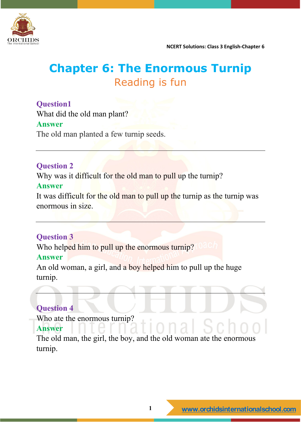

# **Chapter 6: The Enormous Turnip** Reading is fun

## **Question1**

What did the old man plant? **Answer** The old man planted a few turnip seeds.

## **Question 2**

Why was it difficult for the old man to pull up the turnip?

## **Answer**

It was difficult for the old man to pull up the turnip as the turnip was enormous in size.

## **Question 3**

Who helped him to pull up the enormous turnip?

## **Answer**

An old woman, a girl, and a boy helped him to pull up the huge turnip.

## **Question 4**

Who ate the enormous turnip?

## **Answer**

The old man, the girl, the boy, and the old woman ate the enormous turnip.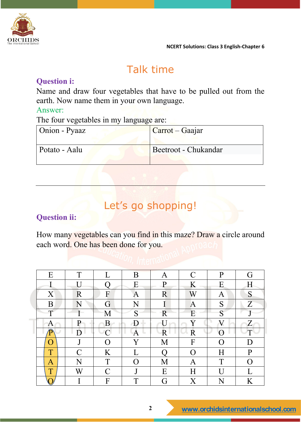

# Talk time

## **Question i:**

Name and draw four vegetables that have to be pulled out from the earth. Now name them in your own language.

## Answer:

The four vegetables in my language are:

| Onion - Pyaaz | Carrot – Gaajar      |
|---------------|----------------------|
| Potato - Aalu | Beetroot - Chukandar |

## Let's go shopping!

## **Question ii:**

How many vegetables can you find in this maze? Draw a circle around each word. One has been done for you.

| E                  | T                           | L             | B | Α            | $\mathcal{C}$ | $\mathbf{P}$ | G            |
|--------------------|-----------------------------|---------------|---|--------------|---------------|--------------|--------------|
|                    | $\overline{U}$              |               | Ε | $\mathbf{P}$ | K             | Ε            | Η            |
| X                  | R                           | F             | A | R            | W             | A            | S            |
| B                  | N                           | G             | Ñ |              | A             | S            | Z            |
| T                  |                             | М             | S | R            | E             | S            | J            |
| A                  | P                           | B             | D |              | Y             | V            | Ζ            |
| P                  | D                           | $\cap$        | A | R            | R             |              |              |
| $\left( \ \right)$ | J                           | O             | Y | М            | F             | O            | D            |
| T                  | $\mathcal{C}_{\mathcal{C}}$ | K             |   |              | O             | Η            | $\mathbf{P}$ |
| A                  | N                           | T             | O | М            | Α             | T            | O            |
| T                  | W                           | $\mathcal{C}$ | J | E            | Η             |              |              |
| ∩                  |                             | F             | T | G            | $\rm X$       | N            | K            |

## **2 [www.orchidsinternationalschool.com](http://www.orchidsinternationalschool.com)**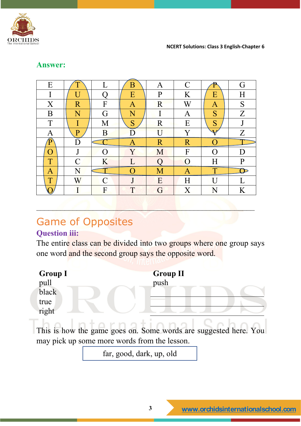

| Ε              |                    |                | Β                       | Α              | $\mathcal{C}$    |                       | G            |
|----------------|--------------------|----------------|-------------------------|----------------|------------------|-----------------------|--------------|
|                |                    |                | E                       | $\mathbf{P}$   | K                | Ε                     | Η            |
| $\overline{X}$ | R                  | F              | A                       | R              | W                | A                     | S            |
| B              | $\rm N$            | G              | $\overline{\rm N}$      |                | A                | S                     | Z            |
| T              |                    | M              | S                       | R              | E                | S                     |              |
| Α              | $\rm P$            | $\overline{B}$ |                         | $\overline{I}$ | Y                | $\boldsymbol{\nabla}$ | Z            |
|                |                    |                |                         |                |                  |                       |              |
| D              | D                  |                |                         | R              | $\mathbf R$      |                       |              |
| $\bigcap$      | J                  | ∩              | $\overline{\mathrm{Y}}$ | M              | $\boldsymbol{F}$ |                       |              |
|                | $\subset$          | K              |                         |                | $\overline{O}$   | Η                     | $\mathbf{P}$ |
| Α              | $\overline{\rm N}$ |                |                         |                | Α                |                       |              |
| T              |                    | $\mathcal{C}$  | J                       | E              | Η                |                       |              |

### **Answer:**

# Game of Opposites

## **Question iii:**

The entire class can be divided into two groups where one group says one word and the second group says the opposite word.

––––––––––––––––––––––––––––––––––––––––––––––––––––––

| <b>Group I</b> |                                              | <b>Group II</b> |                                                                  |
|----------------|----------------------------------------------|-----------------|------------------------------------------------------------------|
| pull           |                                              | push            |                                                                  |
| black          |                                              |                 |                                                                  |
| true           |                                              |                 |                                                                  |
| right          |                                              |                 |                                                                  |
|                |                                              |                 | This is how the game goes on. Some words are suggested here. You |
|                | may pick up some more words from the lesson. |                 |                                                                  |
|                | far, good, dark, up, old                     |                 |                                                                  |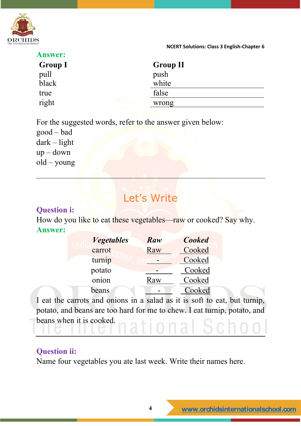

| <b>Answer:</b> |                 |
|----------------|-----------------|
| <b>Group I</b> | <b>Group II</b> |
| pull           | push            |
| black          | white           |
| true           | false           |
| right          | wrong           |

For the suggested words, refer to the answer given below:

good – bad dark – light up – down old – young

# Let's Write

## **Question i:**

How do you like to eat these vegetables—raw or cooked? Say why. **Answer:**

| <b><i>Vegetables</i></b> | Raw | <b>Cooked</b> |  |
|--------------------------|-----|---------------|--|
| carrot                   | Raw | Cooked        |  |
| turnip                   |     | Cooked        |  |
| potato                   |     | Cooked        |  |
| onion                    | Raw | Cooked        |  |
| beans                    |     | Cooked        |  |

I eat the carrots and onions in a salad as it is soft to eat, but turnip, potato, and beans are too hard for me to chew. I eat turnip, potato, and beans when it is cooked.

## **Question ii:**

Name four vegetables you ate last week. Write their names here.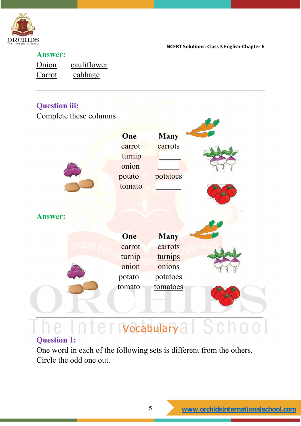

## **Answer:**

| Onion  | cauliflower |
|--------|-------------|
| Carrot | cabbage     |

## **Question iii:**

Complete these columns.

|                | One    | <b>Many</b> |  |
|----------------|--------|-------------|--|
|                | carrot | carrots     |  |
|                | turnip |             |  |
|                | onion  |             |  |
|                | potato | potatoes    |  |
|                | tomato |             |  |
|                |        |             |  |
|                |        |             |  |
| <b>Answer:</b> |        |             |  |
|                |        |             |  |
|                | One    | <b>Many</b> |  |
|                | carrot | carrots     |  |
|                | turnip | turnips     |  |
|                | onion  | onions      |  |
|                | potato | potatoes    |  |
|                | tomato | tomatoes    |  |
|                |        |             |  |
|                |        |             |  |
|                |        |             |  |

# Vocabulary

## **Question 1:**

One word in each of the following sets is different from the others. Circle the odd one out.